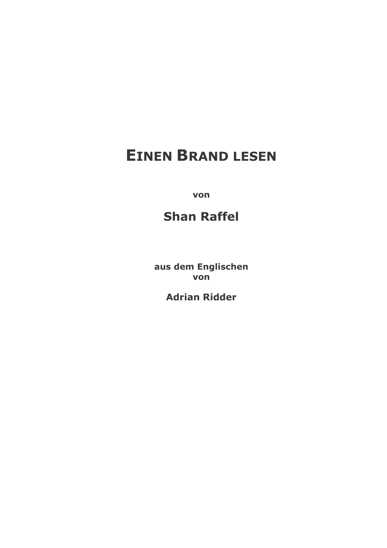# **EINEN BRAND LESEN**

von

# **Shan Raffel**

aus dem Englischen von

**Adrian Ridder**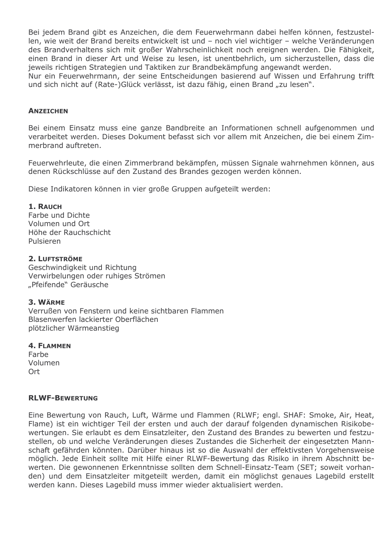Bei jedem Brand gibt es Anzeichen, die dem Feuerwehrmann dabei helfen können, festzustellen, wie weit der Brand bereits entwickelt ist und - noch viel wichtiger - welche Veränderungen des Brandverhaltens sich mit großer Wahrscheinlichkeit noch ereignen werden. Die Fähigkeit, einen Brand in dieser Art und Weise zu lesen, ist unentbehrlich, um sicherzustellen, dass die jeweils richtigen Strategien und Taktiken zur Brandbekämpfung angewandt werden. Nur ein Feuerwehrmann, der seine Entscheidungen basierend auf Wissen und Erfahrung trifft und sich nicht auf (Rate-)Glück verlässt, ist dazu fähig, einen Brand "zu lesen".

#### **ANZEICHEN**

Bei einem Einsatz muss eine ganze Bandbreite an Informationen schnell aufgenommen und verarbeitet werden. Dieses Dokument befasst sich vor allem mit Anzeichen, die bei einem Zimmerbrand auftreten.

Feuerwehrleute, die einen Zimmerbrand bekämpfen, müssen Signale wahrnehmen können, aus denen Rückschlüsse auf den Zustand des Brandes gezogen werden können.

Diese Indikatoren können in vier große Gruppen aufgeteilt werden:

#### 1. RAUCH

Farbe und Dichte Volumen und Ort Höhe der Rauchschicht Pulsieren

# 2. LUFTSTRÖME

Geschwindigkeit und Richtung Verwirbelungen oder ruhiges Strömen "Pfeifende" Geräusche

#### 3. WÄRME

Verrußen von Fenstern und keine sichtbaren Flammen Blasenwerfen lackierter Oberflächen plötzlicher Wärmeanstieg

#### **4. FLAMMEN**

Farbe Volumen Ort

#### **RLWF-BEWERTUNG**

Eine Bewertung von Rauch, Luft, Wärme und Flammen (RLWF; engl. SHAF: Smoke, Air, Heat, Flame) ist ein wichtiger Teil der ersten und auch der darauf folgenden dynamischen Risikobewertungen. Sie erlaubt es dem Einsatzleiter, den Zustand des Brandes zu bewerten und festzustellen, ob und welche Veränderungen dieses Zustandes die Sicherheit der eingesetzten Mannschaft gefährden könnten. Darüber hinaus ist so die Auswahl der effektivsten Vorgehensweise möglich. Jede Einheit sollte mit Hilfe einer RLWF-Bewertung das Risiko in ihrem Abschnitt bewerten. Die gewonnenen Erkenntnisse sollten dem Schnell-Einsatz-Team (SET; soweit vorhanden) und dem Einsatzleiter mitgeteilt werden, damit ein möglichst genaues Lagebild erstellt werden kann. Dieses Lagebild muss immer wieder aktualisiert werden.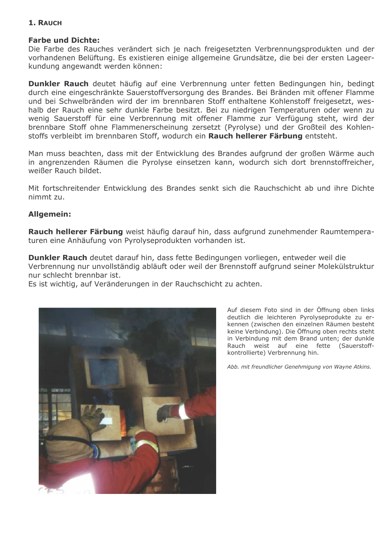# 1. RAUCH

# **Farbe und Dichte:**

Die Farbe des Rauches verändert sich je nach freigesetzten Verbrennungsprodukten und der vorhandenen Belüftung. Es existieren einige allgemeine Grundsätze, die bei der ersten Lageerkundung angewandt werden können:

Dunkler Rauch deutet häufig auf eine Verbrennung unter fetten Bedingungen hin, bedingt durch eine eingeschränkte Sauerstoffversorgung des Brandes. Bei Bränden mit offener Flamme und bei Schwelbränden wird der im brennbaren Stoff enthaltene Kohlenstoff freigesetzt, weshalb der Rauch eine sehr dunkle Farbe besitzt. Bei zu niedrigen Temperaturen oder wenn zu wenig Sauerstoff für eine Verbrennung mit offener Flamme zur Verfügung steht, wird der brennbare Stoff ohne Flammenerscheinung zersetzt (Pyrolyse) und der Großteil des Kohlenstoffs verbleibt im brennbaren Stoff, wodurch ein Rauch hellerer Färbung entsteht.

Man muss beachten, dass mit der Entwicklung des Brandes aufgrund der großen Wärme auch in angrenzenden Räumen die Pyrolyse einsetzen kann, wodurch sich dort brennstoffreicher, weißer Rauch bildet.

Mit fortschreitender Entwicklung des Brandes senkt sich die Rauchschicht ab und ihre Dichte nimmt zu.

#### **Allgemein:**

Rauch hellerer Färbung weist häufig darauf hin, dass aufgrund zunehmender Raumtemperaturen eine Anhäufung von Pyrolyseprodukten vorhanden ist.

Dunkler Rauch deutet darauf hin, dass fette Bedingungen vorliegen, entweder weil die Verbrennung nur unvollständig abläuft oder weil der Brennstoff aufgrund seiner Molekülstruktur nur schlecht brennbar ist.

Es ist wichtig, auf Veränderungen in der Rauchschicht zu achten.



Auf diesem Foto sind in der Öffnung oben links deutlich die leichteren Pyrolyseprodukte zu erkennen (zwischen den einzelnen Räumen besteht keine Verbindung). Die Öffnung oben rechts steht in Verbindung mit dem Brand unten; der dunkle Rauch weist auf eine fette (Sauerstoffkontrollierte) Verbrennung hin.

Abb. mit freundlicher Genehmigung von Wayne Atkins.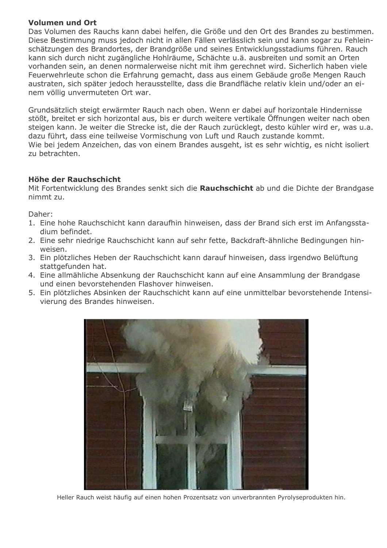# Volumen und Ort

Das Volumen des Rauchs kann dabei helfen, die Größe und den Ort des Brandes zu bestimmen. Diese Bestimmung muss jedoch nicht in allen Fällen verlässlich sein und kann sogar zu Fehleinschätzungen des Brandortes, der Brandgröße und seines Entwicklungsstadiums führen. Rauch kann sich durch nicht zugängliche Hohlräume, Schächte u.ä. ausbreiten und somit an Orten vorhanden sein, an denen normalerweise nicht mit ihm gerechnet wird. Sicherlich haben viele Feuerwehrleute schon die Erfahrung gemacht, dass aus einem Gebäude große Mengen Rauch austraten, sich später jedoch herausstellte, dass die Brandfläche relativ klein und/oder an einem völlig unvermuteten Ort war.

Grundsätzlich steigt erwärmter Rauch nach oben. Wenn er dabei auf horizontale Hindernisse stößt, breitet er sich horizontal aus, bis er durch weitere vertikale Öffnungen weiter nach oben steigen kann. Je weiter die Strecke ist, die der Rauch zurücklegt, desto kühler wird er, was u.a. dazu führt, dass eine teilweise Vormischung von Luft und Rauch zustande kommt. Wie bei jedem Anzeichen, das von einem Brandes ausgeht, ist es sehr wichtig, es nicht isoliert zu betrachten.

# Höhe der Rauchschicht

Mit Fortentwicklung des Brandes senkt sich die Rauchschicht ab und die Dichte der Brandgase nimmt zu.

Daher:

- 1. Eine hohe Rauchschicht kann daraufhin hinweisen, dass der Brand sich erst im Anfangsstadium befindet.
- 2. Eine sehr niedrige Rauchschicht kann auf sehr fette, Backdraft-ähnliche Bedingungen hinweisen.
- 3. Ein plötzliches Heben der Rauchschicht kann darauf hinweisen, dass irgendwo Belüftung stattgefunden hat.
- 4. Eine allmähliche Absenkung der Rauchschicht kann auf eine Ansammlung der Brandgase und einen bevorstehenden Flashover hinweisen.
- 5. Ein plötzliches Absinken der Rauchschicht kann auf eine unmittelbar bevorstehende Intensivierung des Brandes hinweisen.



Heller Rauch weist häufig auf einen hohen Prozentsatz von unverbrannten Pyrolyseprodukten hin.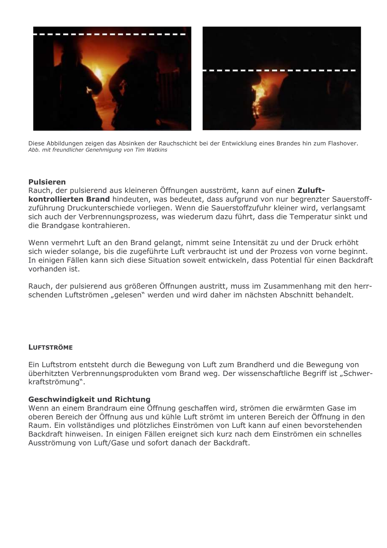

Diese Abbildungen zeigen das Absinken der Rauchschicht bei der Entwicklung eines Brandes hin zum Flashover. Abb. mit freundlicher Genehmigung von Tim Watkins

#### **Pulsieren**

Rauch, der pulsierend aus kleineren Öffnungen ausströmt, kann auf einen Zuluftkontrollierten Brand hindeuten, was bedeutet, dass aufgrund von nur begrenzter Sauerstoffzuführung Druckunterschiede vorliegen. Wenn die Sauerstoffzufuhr kleiner wird, verlangsamt sich auch der Verbrennungsprozess, was wiederum dazu führt, dass die Temperatur sinkt und die Brandgase kontrahieren.

Wenn vermehrt Luft an den Brand gelangt, nimmt seine Intensität zu und der Druck erhöht sich wieder solange, bis die zugeführte Luft verbraucht ist und der Prozess von vorne beginnt. In einigen Fällen kann sich diese Situation soweit entwickeln, dass Potential für einen Backdraft vorhanden ist.

Rauch, der pulsierend aus größeren Öffnungen austritt, muss im Zusammenhang mit den herrschenden Luftströmen "gelesen" werden und wird daher im nächsten Abschnitt behandelt.

#### **LUFTSTRÖME**

Ein Luftstrom entsteht durch die Bewegung von Luft zum Brandherd und die Bewegung von überhitzten Verbrennungsprodukten vom Brand weg. Der wissenschaftliche Begriff ist "Schwerkraftströmung".

#### **Geschwindigkeit und Richtung**

Wenn an einem Brandraum eine Öffnung geschaffen wird, strömen die erwärmten Gase im oberen Bereich der Öffnung aus und kühle Luft strömt im unteren Bereich der Öffnung in den Raum. Ein vollständiges und plötzliches Einströmen von Luft kann auf einen bevorstehenden Backdraft hinweisen. In einigen Fällen ereignet sich kurz nach dem Einströmen ein schnelles Ausströmung von Luft/Gase und sofort danach der Backdraft.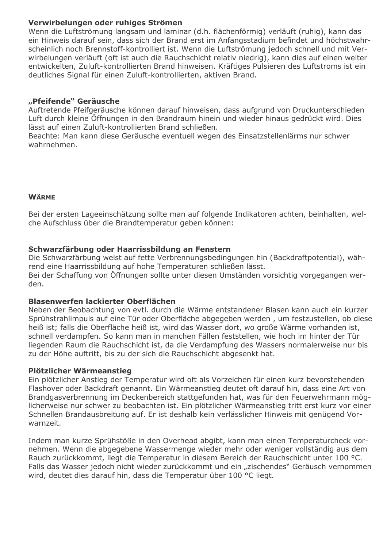# Verwirbelungen oder ruhiges Strömen

Wenn die Luftströmung langsam und laminar (d.h. flächenförmig) verläuft (ruhig), kann das ein Hinweis darauf sein, dass sich der Brand erst im Anfangsstadium befindet und höchstwahrscheinlich noch Brennstoff-kontrolliert ist. Wenn die Luftströmung jedoch schnell und mit Verwirbelungen verläuft (oft ist auch die Rauchschicht relativ niedrig), kann dies auf einen weiter entwickelten, Zuluft-kontrollierten Brand hinweisen. Kräftiges Pulsieren des Luftstroms ist ein deutliches Signal für einen Zuluft-kontrollierten, aktiven Brand.

# "Pfeifende" Geräusche

Auftretende Pfeifgeräusche können darauf hinweisen, dass aufgrund von Druckunterschieden Luft durch kleine Öffnungen in den Brandraum hinein und wieder hinaus gedrückt wird. Dies lässt auf einen Zuluft-kontrollierten Brand schließen.

Beachte: Man kann diese Geräusche eventuell wegen des Einsatzstellenlärms nur schwer wahrnehmen.

# **WÄRME**

Bei der ersten Lageeinschätzung sollte man auf folgende Indikatoren achten, beinhalten, welche Aufschluss über die Brandtemperatur geben können:

# Schwarzfärbung oder Haarrissbildung an Fenstern

Die Schwarzfärbung weist auf fette Verbrennungsbedingungen hin (Backdraftpotential), während eine Haarrissbildung auf hohe Temperaturen schließen lässt. Bei der Schaffung von Öffnungen sollte unter diesen Umständen vorsichtig vorgegangen werden.

# Blasenwerfen lackierter Oberflächen

Neben der Beobachtung von evtl. durch die Wärme entstandener Blasen kann auch ein kurzer Sprühstrahlimpuls auf eine Tür oder Oberfläche abgegeben werden, um festzustellen, ob diese heiß ist; falls die Oberfläche heiß ist, wird das Wasser dort, wo große Wärme vorhanden ist, schnell verdampfen. So kann man in manchen Fällen feststellen, wie hoch im hinter der Tür liegenden Raum die Rauchschicht ist, da die Verdampfung des Wassers normalerweise nur bis zu der Höhe auftritt, bis zu der sich die Rauchschicht abgesenkt hat.

# Plötzlicher Wärmeanstieg

Ein plötzlicher Anstieg der Temperatur wird oft als Vorzeichen für einen kurz bevorstehenden Flashover oder Backdraft genannt. Ein Wärmeanstieg deutet oft darauf hin, dass eine Art von Brandgasverbrennung im Deckenbereich stattgefunden hat, was für den Feuerwehrmann möglicherweise nur schwer zu beobachten ist. Ein plötzlicher Wärmeanstieg tritt erst kurz vor einer Schnellen Brandausbreitung auf. Er ist deshalb kein verlässlicher Hinweis mit genügend Vorwarnzeit.

Indem man kurze Sprühstöße in den Overhead abgibt, kann man einen Temperaturcheck vornehmen. Wenn die abgegebene Wassermenge wieder mehr oder weniger vollständig aus dem Rauch zurückkommt, liegt die Temperatur in diesem Bereich der Rauchschicht unter 100 °C. Falls das Wasser jedoch nicht wieder zurückkommt und ein "zischendes" Geräusch vernommen wird, deutet dies darauf hin, dass die Temperatur über 100 °C liegt.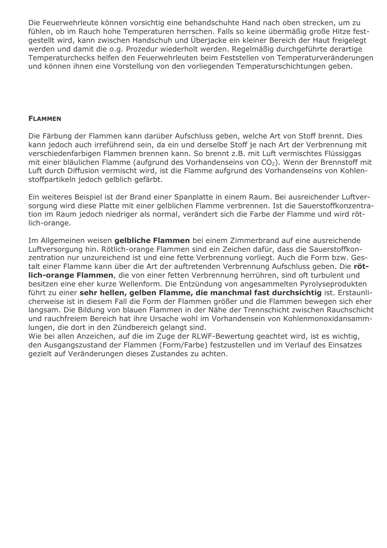Die Feuerwehrleute können vorsichtig eine behandschuhte Hand nach oben strecken, um zu fühlen, ob im Rauch hohe Temperaturen herrschen. Falls so keine übermäßig große Hitze festgestellt wird, kann zwischen Handschuh und Überjacke ein kleiner Bereich der Haut freigelegt werden und damit die o.g. Prozedur wiederholt werden. Regelmäßig durchgeführte derartige Temperaturchecks helfen den Feuerwehrleuten beim Feststellen von Temperaturveränderungen und können ihnen eine Vorstellung von den vorliegenden Temperaturschichtungen geben.

#### **FLAMMEN**

Die Färbung der Flammen kann darüber Aufschluss geben, welche Art von Stoff brennt. Dies kann jedoch auch irreführend sein, da ein und derselbe Stoff je nach Art der Verbrennung mit verschiedenfarbigen Flammen brennen kann. So brennt z.B. mit Luft vermischtes Flüssiggas mit einer bläulichen Flamme (aufgrund des Vorhandenseins von CO<sub>2</sub>). Wenn der Brennstoff mit Luft durch Diffusion vermischt wird, ist die Flamme aufgrund des Vorhandenseins von Kohlenstoffpartikeln jedoch gelblich gefärbt.

Ein weiteres Beispiel ist der Brand einer Spanplatte in einem Raum. Bei ausreichender Luftversorgung wird diese Platte mit einer gelblichen Flamme verbrennen. Ist die Sauerstoffkonzentration im Raum jedoch niedriger als normal, verändert sich die Farbe der Flamme und wird rötlich-orange.

Im Allgemeinen weisen gelbliche Flammen bei einem Zimmerbrand auf eine ausreichende Luftversorgung hin. Rötlich-orange Flammen sind ein Zeichen dafür, dass die Sauerstoffkonzentration nur unzureichend ist und eine fette Verbrennung vorliegt. Auch die Form bzw. Gestalt einer Flamme kann über die Art der auftretenden Verbrennung Aufschluss geben. Die rötlich-orange Flammen, die von einer fetten Verbrennung herrühren, sind oft turbulent und besitzen eine eher kurze Wellenform. Die Entzündung von angesammelten Pyrolyseprodukten führt zu einer sehr hellen, gelben Flamme, die manchmal fast durchsichtig ist. Erstaunlicherweise ist in diesem Fall die Form der Flammen größer und die Flammen bewegen sich eher Jangsam. Die Bildung von blauen Flammen in der Nähe der Trennschicht zwischen Rauchschicht und rauchfreiem Bereich hat ihre Ursache wohl im Vorhandensein von Kohlenmonoxidansammlungen, die dort in den Zündbereich gelangt sind.

Wie bei allen Anzeichen, auf die im Zuge der RLWF-Bewertung geachtet wird, ist es wichtig, den Ausgangszustand der Flammen (Form/Farbe) festzustellen und im Verlauf des Einsatzes gezielt auf Veränderungen dieses Zustandes zu achten.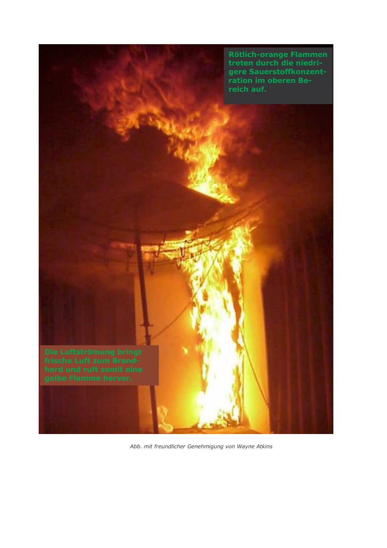

Abb. mit freundlicher Genehmigung von Wayne Atkins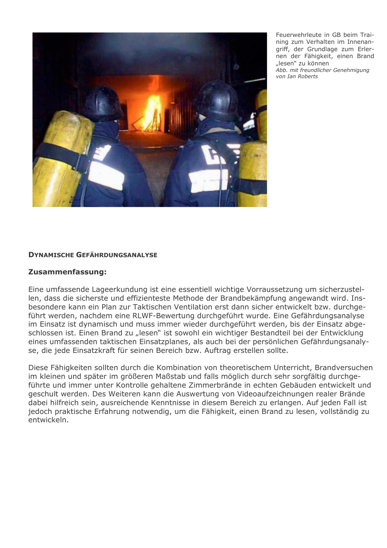

Feuerwehrleute in GB beim Training zum Verhalten im Innenangriff, der Grundlage zum Erlernen der Fähigkeit, einen Brand "lesen" zu können Abb. mit freundlicher Genehmigung von Ian Roberts

#### **DYNAMISCHE GEFÄHRDUNGSANALYSE**

#### Zusammenfassung:

Eine umfassende Lageerkundung ist eine essentiell wichtige Vorraussetzung um sicherzustellen, dass die sicherste und effizienteste Methode der Brandbekämpfung angewandt wird. Insbesondere kann ein Plan zur Taktischen Ventilation erst dann sicher entwickelt bzw. durchgeführt werden, nachdem eine RLWF-Bewertung durchgeführt wurde. Eine Gefährdungsanalyse im Einsatz ist dynamisch und muss immer wieder durchgeführt werden, bis der Einsatz abgeschlossen ist. Einen Brand zu "lesen" ist sowohl ein wichtiger Bestandteil bei der Entwicklung eines umfassenden taktischen Einsatzplanes, als auch bei der persönlichen Gefährdungsanalyse, die jede Einsatzkraft für seinen Bereich bzw. Auftrag erstellen sollte.

Diese Fähigkeiten sollten durch die Kombination von theoretischem Unterricht, Brandversuchen im kleinen und später im größeren Maßstab und falls möglich durch sehr sorgfältig durchgeführte und immer unter Kontrolle gehaltene Zimmerbrände in echten Gebäuden entwickelt und geschult werden. Des Weiteren kann die Auswertung von Videoaufzeichnungen realer Brände dabei hilfreich sein, ausreichende Kenntnisse in diesem Bereich zu erlangen. Auf jeden Fall ist jedoch praktische Erfahrung notwendig, um die Fähigkeit, einen Brand zu lesen, vollständig zu entwickeln.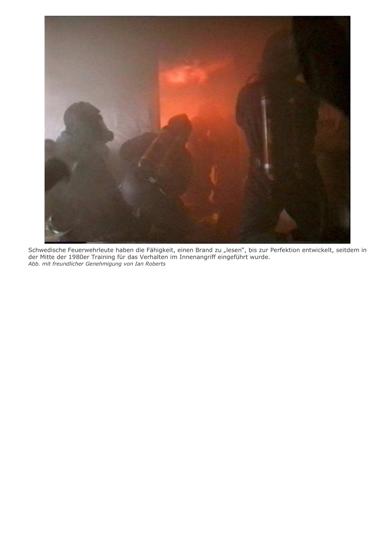

Schwedische Feuerwehrleute haben die Fähigkeit, einen Brand zu "lesen", bis zur Perfektion entwickelt, seitdem in der Mitte der 1980er Training für das Verhalten im Innenangriff eingeführt wurde. Abb. mit freundlicher Genehmigung von Ian Roberts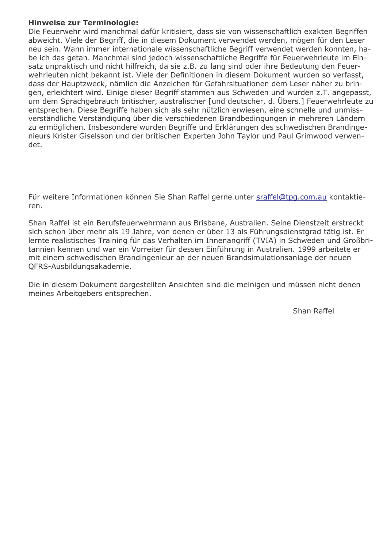# **Hinweise zur Terminologie:**

Die Feuerwehr wird manchmal dafür kritisiert, dass sie von wissenschaftlich exakten Begriffen abweicht. Viele der Begriff, die in diesem Dokument verwendet werden, mögen für den Leser neu sein. Wann immer internationale wissenschaftliche Begriff verwendet werden konnten, habe ich das getan. Manchmal sind jedoch wissenschaftliche Begriffe für Feuerwehrleute im Einsatz unpraktisch und nicht hilfreich, da sie z.B. zu lang sind oder ihre Bedeutung den Feuerwehrleuten nicht bekannt ist. Viele der Definitionen in diesem Dokument wurden so verfasst, dass der Hauptzweck, nämlich die Anzeichen für Gefahrsituationen dem Leser näher zu bringen, erleichtert wird. Einige dieser Begriff stammen aus Schweden und wurden z.T. angepasst, um dem Sprachgebrauch britischer, australischer [und deutscher, d. Übers.] Feuerwehrleute zu entsprechen. Diese Begriffe haben sich als sehr nützlich erwiesen, eine schnelle und unmissverständliche Verständigung über die verschiedenen Brandbedingungen in mehreren Ländern zu ermöglichen. Insbesondere wurden Begriffe und Erklärungen des schwedischen Brandingenieurs Krister Giselsson und der britischen Experten John Taylor und Paul Grimwood verwendet.

Für weitere Informationen können Sie Shan Raffel gerne unter sraffel@tpg.com.au kontaktieren.

Shan Raffel ist ein Berufsfeuerwehrmann aus Brisbane, Australien. Seine Dienstzeit erstreckt sich schon über mehr als 19 Jahre, von denen er über 13 als Führungsdienstgrad tätig ist. Er lernte realistisches Training für das Verhalten im Innenangriff (TVIA) in Schweden und Großbritannien kennen und war ein Vorreiter für dessen Einführung in Australien. 1999 arbeitete er mit einem schwedischen Brandingenieur an der neuen Brandsimulationsanlage der neuen QFRS-Ausbildungsakademie.

Die in diesem Dokument dargestellten Ansichten sind die meinigen und müssen nicht denen meines Arbeitgebers entsprechen.

Shan Raffel